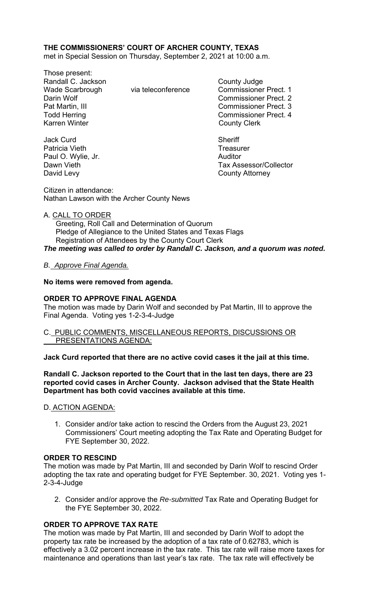## **THE COMMISSIONERS' COURT OF ARCHER COUNTY, TEXAS**

met in Special Session on Thursday, September 2, 2021 at 10:00 a.m.

Those present: Randall C. Jackson **County Judge** County Judge Wade Scarbrough via teleconference Commissioner Prect. 1 Darin Wolf Commissioner Prect. 2 Pat Martin, III Commissioner Prect. 3 Todd Herring **Commissioner Prect.** 4 Karren Winter **County Clerk** 

Jack Curd **Sheriff** Patricia Vieth **Treasurer** Treasurer Paul O. Wylie, Jr. **Auditor Paul O. Wylie, Jr. Auditor** David Levy **County Attorney** 

Dawn Vieth Tax Assessor/Collector

Citizen in attendance: Nathan Lawson with the Archer County News

#### A. CALL TO ORDER

 Greeting, Roll Call and Determination of Quorum Pledge of Allegiance to the United States and Texas Flags Registration of Attendees by the County Court Clerk *The meeting was called to order by Randall C. Jackson, and a quorum was noted.* 

### *B. Approve Final Agenda.*

### **No items were removed from agenda.**

### **ORDER TO APPROVE FINAL AGENDA**

The motion was made by Darin Wolf and seconded by Pat Martin, III to approve the Final Agenda. Voting yes 1-2-3-4-Judge

### C. PUBLIC COMMENTS, MISCELLANEOUS REPORTS, DISCUSSIONS OR PRESENTATIONS AGENDA:

#### **Jack Curd reported that there are no active covid cases it the jail at this time.**

### **Randall C. Jackson reported to the Court that in the last ten days, there are 23 reported covid cases in Archer County. Jackson advised that the State Health Department has both covid vaccines available at this time.**

# D. ACTION AGENDA:

1. Consider and/or take action to rescind the Orders from the August 23, 2021 Commissioners' Court meeting adopting the Tax Rate and Operating Budget for FYE September 30, 2022.

#### **ORDER TO RESCIND**

The motion was made by Pat Martin, III and seconded by Darin Wolf to rescind Order adopting the tax rate and operating budget for FYE September. 30, 2021. Voting yes 1- 2-3-4-Judge

2. Consider and/or approve the *Re-submitted* Tax Rate and Operating Budget for the FYE September 30, 2022.

### **ORDER TO APPROVE TAX RATE**

The motion was made by Pat Martin, III and seconded by Darin Wolf to adopt the property tax rate be increased by the adoption of a tax rate of 0.62783, which is effectively a 3.02 percent increase in the tax rate. This tax rate will raise more taxes for maintenance and operations than last year's tax rate. The tax rate will effectively be